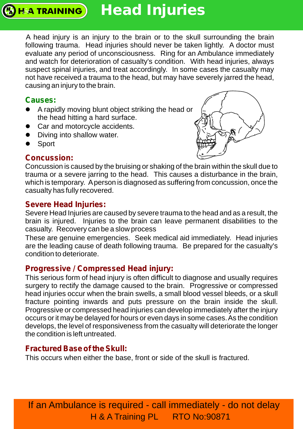## **Head Injuries**

A head injury is an injury to the brain or to the skull surrounding the brain following trauma. Head injuries should never be taken lightly. A doctor must evaluate any period of unconsciousness. Ring for an Ambulance immediately and watch for deterioration of casualty's condition. With head injuries, always suspect spinal injuries, and treat accordingly. In some cases the casualty may not have received a trauma to the head, but may have severely jarred the head, causing an injury to the brain.

### **Causes:**

**HA TRAINING** 

- A rapidly moving blunt object striking the head or the head hitting a hard surface.
- Car and motorcycle accidents.
- Diving into shallow water.
- Sport

## **Concussion:**



Concussion is caused by the bruising or shaking of the brain within the skull due to trauma or a severe jarring to the head. This causes a disturbance in the brain, which is temporary. Aperson is diagnosed as suffering from concussion, once the casualty has fully recovered.

#### **Severe Head Injuries:**

Severe Head Injuries are caused by severe trauma to the head and as a result, the brain is injured. Injuries to the brain can leave permanent disabilities to the casualty. Recovery can be a slow process

These are genuine emergencies. Seek medical aid immediately. Head injuries are the leading cause of death following trauma. Be prepared for the casualty's condition to deteriorate.

#### **Progressive / Compressed Head injury:**

This serious form of head injury is often difficult to diagnose and usually requires surgery to rectify the damage caused to the brain. Progressive or compressed head injuries occur when the brain swells, a small blood vessel bleeds, or a skull fracture pointing inwards and puts pressure on the brain inside the skull. Progressive or compressed head injuries can develop immediately after the injury occurs or it may be delayed for hours or even days in some cases. As the condition develops, the level of responsiveness from the casualty will deteriorate the longer the condition is left untreated.

#### **Fractured Base of the Skull:**

This occurs when either the base, front or side of the skull is fractured.

If an Ambulance is required - call immediately - do not delay H & A Training PL RTO No:90871